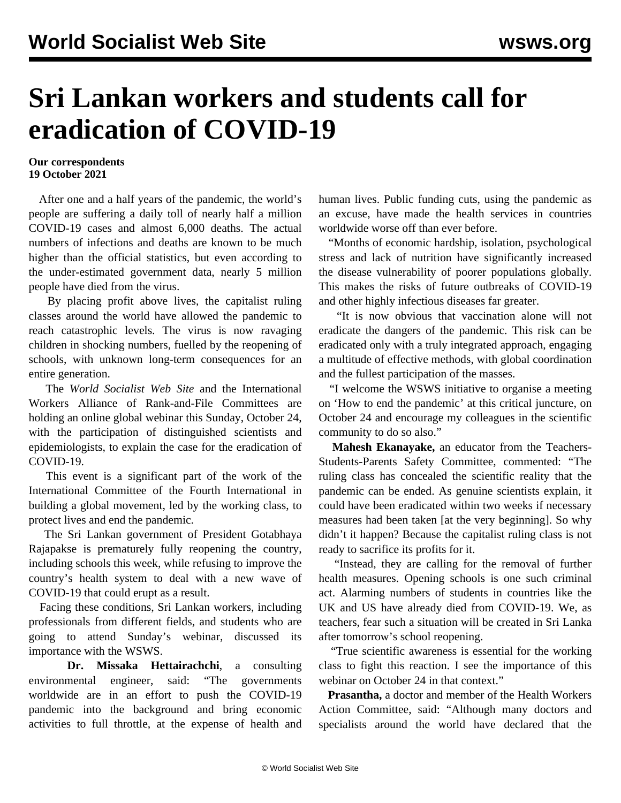## **Sri Lankan workers and students call for eradication of COVID-19**

## **Our correspondents 19 October 2021**

 After one and a half years of the pandemic, the world's people are suffering a daily toll of nearly half a million COVID-19 cases and almost 6,000 deaths. The actual numbers of infections and deaths are known to be much higher than the official statistics, but even according to the under-estimated government data, nearly 5 million people have died from the virus.

 By placing profit above lives, the capitalist ruling classes around the world have allowed the pandemic to reach catastrophic levels. The virus is now ravaging children in shocking numbers, fuelled by the reopening of schools, with unknown long-term consequences for an entire generation.

 The *World Socialist Web Site* and the International Workers Alliance of Rank-and-File Committees are holding an online global webinar this Sunday, October 24, with the participation of distinguished scientists and epidemiologists, to explain the case for the eradication of COVID-19.

 This event is a significant part of the work of the International Committee of the Fourth International in building a global movement, led by the working class, to protect lives and end the pandemic.

 The Sri Lankan government of President Gotabhaya Rajapakse is prematurely fully reopening the country, including schools this week, while refusing to improve the country's health system to deal with a new wave of COVID-19 that could erupt as a result.

 Facing these conditions, Sri Lankan workers, including professionals from different fields, and students who are going to attend Sunday's webinar, discussed its importance with the WSWS.

 **Dr. Missaka Hettairachchi**, a consulting environmental engineer, said: "The governments worldwide are in an effort to push the COVID-19 pandemic into the background and bring economic activities to full throttle, at the expense of health and human lives. Public funding cuts, using the pandemic as an excuse, have made the health services in countries worldwide worse off than ever before.

 "Months of economic hardship, isolation, psychological stress and lack of nutrition have significantly increased the disease vulnerability of poorer populations globally. This makes the risks of future outbreaks of COVID-19 and other highly infectious diseases far greater.

 "It is now obvious that vaccination alone will not eradicate the dangers of the pandemic. This risk can be eradicated only with a truly integrated approach, engaging a multitude of effective methods, with global coordination and the fullest participation of the masses.

 "I welcome the WSWS initiative to organise a meeting on 'How to end the pandemic' at this critical juncture, on October 24 and encourage my colleagues in the scientific community to do so also."

 **Mahesh Ekanayake,** an educator from the Teachers-Students-Parents Safety Committee, commented: "The ruling class has concealed the scientific reality that the pandemic can be ended. As genuine scientists explain, it could have been eradicated within two weeks if necessary measures had been taken [at the very beginning]. So why didn't it happen? Because the capitalist ruling class is not ready to sacrifice its profits for it.

 "Instead, they are calling for the removal of further health measures. Opening schools is one such criminal act. Alarming numbers of students in countries like the UK and US have already died from COVID-19. We, as teachers, fear such a situation will be created in Sri Lanka after tomorrow's school reopening.

 "True scientific awareness is essential for the working class to fight this reaction. I see the importance of this webinar on October 24 in that context."

 **Prasantha,** a doctor and member of the Health Workers Action Committee, said: "Although many doctors and specialists around the world have declared that the